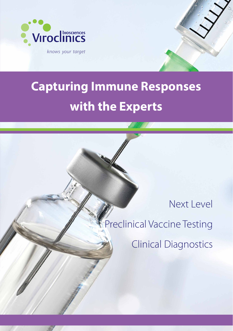

## **Capturing Immune Responses with the Experts**

Next Level

Preclinical Vaccine Testing

Clinical Diagnostics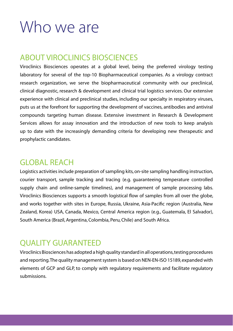# Who we are

### ABOUT VIROCLINICS BIOSCIENCES

Viroclinics Biosciences operates at a global level, being the preferred virology testing laboratory for several of the top-10 Biopharmaceutical companies. As a virology contract research organization, we serve the biopharmaceutical community with our preclinical, clinical diagnostic, research & development and clinical trial logistics services. Our extensive experience with clinical and preclinical studies, including our specialty in respiratory viruses, puts us at the forefront for supporting the development of vaccines, antibodies and antiviral compounds targeting human disease. Extensive investment in Research & Development Services allows for assay innovation and the introduction of new tools to keep analysis up to date with the increasingly demanding criteria for developing new therapeutic and prophylactic candidates.

### GLOBAL REACH

Logistics activities include preparation of sampling kits, on-site sampling handling instruction, courier transport, sample tracking and tracing (e.g. guaranteeing temperature controlled supply chain and online-sample timelines), and management of sample processing labs. Viroclinics Biosciences supports a smooth logistical flow of samples from all over the globe, and works together with sites in Europe, Russia, Ukraine, Asia-Pacific region (Australia, New Zealand, Korea) USA, Canada, Mexico, Central America region (e.g., Guatemala, El Salvador), South America (Brazil, Argentina, Colombia, Peru, Chile) and South Africa.

### QUALITY GUARANTEED

Viroclinics Biosciences has adopted a high quality standard in all operations, testing procedures and reporting. The quality management system is based on NEN-EN-ISO 15189, expanded with elements of GCP and GLP, to comply with regulatory requirements and facilitate regulatory submissions.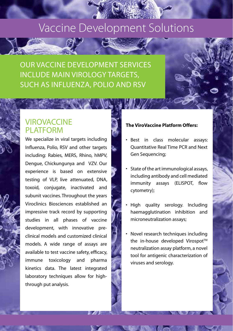### Vaccine Development Solutions

OUR VACCINE DEVELOPMENT SERVICES INCLUDE MAIN VIROLOGY TARGETS, SUCH AS INFLUENZA, POLIO AND RSV

#### **VIROVACCINE** PI ATFORM

We specialize in viral targets including Influenza, Polio, RSV and other targets including: Rabies, MERS, Rhino, hMPV, Dengue, Chickungunya and VZV. Our experience is based on extensive testing of VLP, live attenuated, DNA, toxoid, conjugate, inactivated and subunit vaccines. Throughout the years Viroclinics Biosciences established an impressive track record by supporting studies in all phases of vaccine development, with innovative preclinical models and customized clinical models. A wide range of assays are available to test vaccine safety, efficacy, immune toxicology and pharma kinetics data. The latest integrated laboratory techniques allow for highthrough put analysis.

#### **The ViroVaccine Platform Offers:**

- Best in class molecular assays: Quantitative Real Time PCR and Next Gen Sequencing;
- State of the art immunological assays, including antibody and cell mediated immunity assays (ELISPOT, flow cytometry);
- High quality serology. Including haemagglutination inhibition and microneutralization assays;
- Novel research techniques including the in-house developed Virospot™ neutralization assay platform, a novel tool for antigenic characterization of viruses and serology.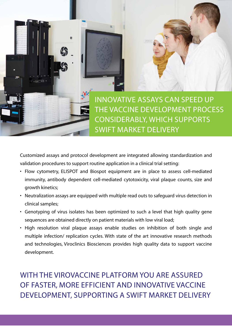

Customized assays and protocol development are integrated allowing standardization and validation procedures to support routine application in a clinical trial setting:

- Flow cytometry, ELISPOT and Biospot equipment are in place to assess cell-mediated immunity, antibody dependent cell-mediated cytotoxicity, viral plaque counts, size and growth kinetics;
- Neutralization assays are equipped with multiple read outs to safeguard virus detection in clinical samples;
- Genotyping of virus isolates has been optimized to such a level that high quality gene sequences are obtained directly on patient materials with low viral load;
- High resolution viral plaque assays enable studies on inhibition of both single and multiple infection/ replication cycles. With state of the art innovative research methods and technologies, Viroclinics Biosciences provides high quality data to support vaccine development.

WITH THE VIROVACCINE PLATEORM YOU ARE ASSURED OF FASTER, MORE EFFICIENT AND INNOVATIVE VACCINE DEVELOPMENT, SUPPORTING A SWIFT MARKET DELIVERY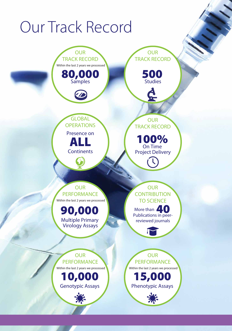